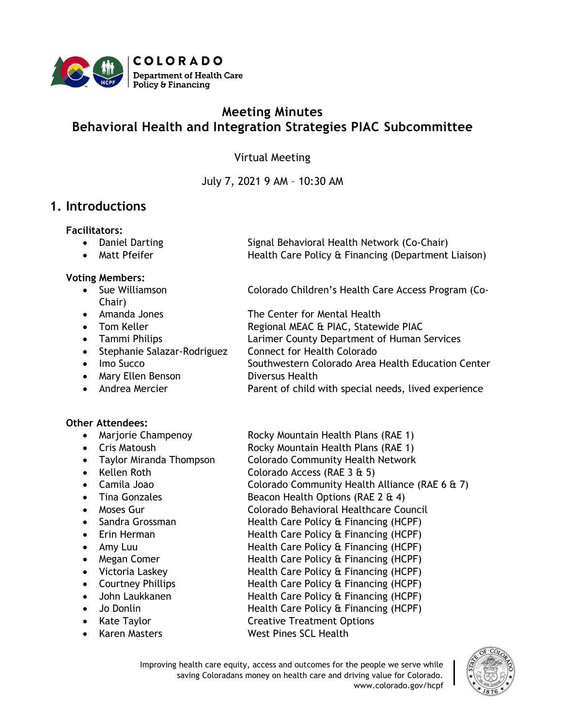

# **Meeting Minutes Behavioral Health and Integration Strategies PIAC Subcommittee**

#### Virtual Meeting

July 7, 2021 9 AM – 10:30 AM

## **1. Introductions**

**Facilitators:**

- Daniel Darting Signal Behavioral Health Network (Co-Chair)
- 

#### **Voting Members:**

- Chair)
- 
- 
- 
- Stephanie Salazar-Rodriguez Connect for Health Colorado
- 
- Mary Ellen Benson Diversus Health
- 

#### **Other Attendees:**

- 
- 
- 
- 
- 
- 
- 
- 
- 
- 
- 
- 
- 
- John Laukkanen Health Care Policy & Financing (HCPF)
- 
- 
- 

• Matt Pfeifer **Health Care Policy & Financing (Department Liaison)** 

• Sue Williamson **Colorado Children's Health Care Access Program (Co-**

- Amanda Jones The Center for Mental Health
- Tom Keller **Regional MEAC & PIAC, Statewide PIAC**
- Tammi Philips Larimer County Department of Human Services
	-
- Imo Succo Southwestern Colorado Area Health Education Center
- Andrea Mercier **Parent of child with special needs, lived experience**
- Marjorie Champenoy Rocky Mountain Health Plans (RAE 1)
- Cris Matoush **Rocky Mountain Health Plans (RAE 1)**
- Taylor Miranda Thompson Colorado Community Health Network
- Kellen Roth Colorado Access (RAE 3 & 5)
	- Camila Joao Colorado Community Health Alliance (RAE 6 & 7)
- Tina Gonzales Beacon Health Options (RAE 2 & 4)
- Moses Gur Colorado Behavioral Healthcare Council
- Sandra Grossman **Health Care Policy & Financing (HCPF)**
- Erin Herman **Health Care Policy & Financing (HCPF)**
- Amy Luu Health Care Policy & Financing (HCPF)
- Megan Comer **Health Care Policy & Financing (HCPF)**
- Victoria Laskey Health Care Policy & Financing (HCPF)
- Courtney Phillips **Health Care Policy & Financing (HCPF)** 
	- Jo Donlin Health Care Policy & Financing (HCPF)
- Kate Taylor **Creative Treatment Options**
- Karen Masters West Pines SCL Health

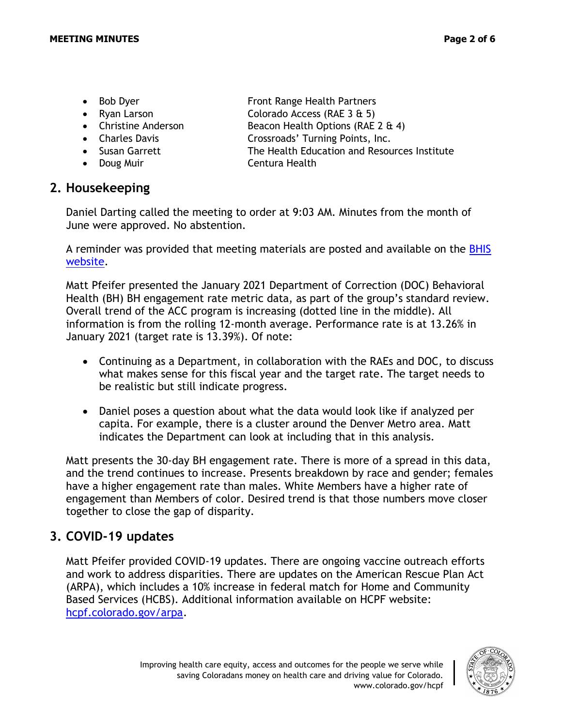- Bob Dyer Front Range Health Partners
- 
- 
- 
- 
- 
- Ryan Larson Colorado Access (RAE 3 & 5) • Christine Anderson Beacon Health Options (RAE 2 & 4)
- Charles Davis **Crossroads'** Turning Points, Inc.
- Susan Garrett The Health Education and Resources Institute
- Doug Muir Centura Health

## **2. Housekeeping**

Daniel Darting called the meeting to order at 9:03 AM. Minutes from the month of June were approved. No abstention.

A reminder was provided that meeting materials are posted and available on the [BHIS](https://hcpf.colorado.gov/behavioral-health-and-integration-strategies-subcommittee)  [website.](https://hcpf.colorado.gov/behavioral-health-and-integration-strategies-subcommittee)

Matt Pfeifer presented the January 2021 Department of Correction (DOC) Behavioral Health (BH) BH engagement rate metric data, as part of the group's standard review. Overall trend of the ACC program is increasing (dotted line in the middle). All information is from the rolling 12-month average. Performance rate is at 13.26% in January 2021 (target rate is 13.39%). Of note:

- Continuing as a Department, in collaboration with the RAEs and DOC, to discuss what makes sense for this fiscal year and the target rate. The target needs to be realistic but still indicate progress.
- Daniel poses a question about what the data would look like if analyzed per capita. For example, there is a cluster around the Denver Metro area. Matt indicates the Department can look at including that in this analysis.

Matt presents the 30-day BH engagement rate. There is more of a spread in this data, and the trend continues to increase. Presents breakdown by race and gender; females have a higher engagement rate than males. White Members have a higher rate of engagement than Members of color. Desired trend is that those numbers move closer together to close the gap of disparity.

# **3. COVID-19 updates**

Matt Pfeifer provided COVID-19 updates. There are ongoing vaccine outreach efforts and work to address disparities. There are updates on the American Rescue Plan Act (ARPA), which includes a 10% increase in federal match for Home and Community Based Services (HCBS). Additional information available on HCPF website: [hcpf.colorado.gov/arpa.](hcpf.colorado.gov/arpa)

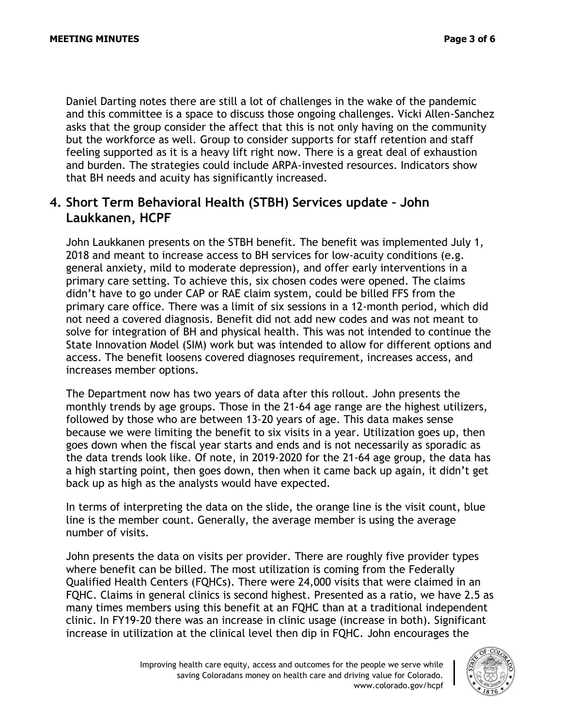Daniel Darting notes there are still a lot of challenges in the wake of the pandemic and this committee is a space to discuss those ongoing challenges. Vicki Allen-Sanchez asks that the group consider the affect that this is not only having on the community but the workforce as well. Group to consider supports for staff retention and staff feeling supported as it is a heavy lift right now. There is a great deal of exhaustion and burden. The strategies could include ARPA-invested resources. Indicators show that BH needs and acuity has significantly increased.

## **4. Short Term Behavioral Health (STBH) Services update – John Laukkanen, HCPF**

John Laukkanen presents on the STBH benefit. The benefit was implemented July 1, 2018 and meant to increase access to BH services for low-acuity conditions (e.g. general anxiety, mild to moderate depression), and offer early interventions in a primary care setting. To achieve this, six chosen codes were opened. The claims didn't have to go under CAP or RAE claim system, could be billed FFS from the primary care office. There was a limit of six sessions in a 12-month period, which did not need a covered diagnosis. Benefit did not add new codes and was not meant to solve for integration of BH and physical health. This was not intended to continue the State Innovation Model (SIM) work but was intended to allow for different options and access. The benefit loosens covered diagnoses requirement, increases access, and increases member options.

The Department now has two years of data after this rollout. John presents the monthly trends by age groups. Those in the 21-64 age range are the highest utilizers, followed by those who are between 13-20 years of age. This data makes sense because we were limiting the benefit to six visits in a year. Utilization goes up, then goes down when the fiscal year starts and ends and is not necessarily as sporadic as the data trends look like. Of note, in 2019-2020 for the 21-64 age group, the data has a high starting point, then goes down, then when it came back up again, it didn't get back up as high as the analysts would have expected.

In terms of interpreting the data on the slide, the orange line is the visit count, blue line is the member count. Generally, the average member is using the average number of visits.

John presents the data on visits per provider. There are roughly five provider types where benefit can be billed. The most utilization is coming from the Federally Qualified Health Centers (FQHCs). There were 24,000 visits that were claimed in an FQHC. Claims in general clinics is second highest. Presented as a ratio, we have 2.5 as many times members using this benefit at an FQHC than at a traditional independent clinic. In FY19-20 there was an increase in clinic usage (increase in both). Significant increase in utilization at the clinical level then dip in FQHC. John encourages the

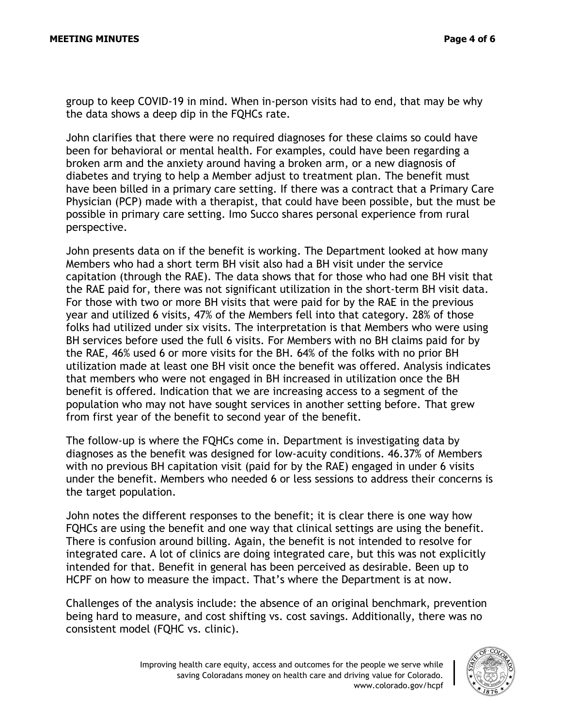group to keep COVID-19 in mind. When in-person visits had to end, that may be why the data shows a deep dip in the FQHCs rate.

John clarifies that there were no required diagnoses for these claims so could have been for behavioral or mental health. For examples, could have been regarding a broken arm and the anxiety around having a broken arm, or a new diagnosis of diabetes and trying to help a Member adjust to treatment plan. The benefit must have been billed in a primary care setting. If there was a contract that a Primary Care Physician (PCP) made with a therapist, that could have been possible, but the must be possible in primary care setting. Imo Succo shares personal experience from rural perspective.

John presents data on if the benefit is working. The Department looked at how many Members who had a short term BH visit also had a BH visit under the service capitation (through the RAE). The data shows that for those who had one BH visit that the RAE paid for, there was not significant utilization in the short-term BH visit data. For those with two or more BH visits that were paid for by the RAE in the previous year and utilized 6 visits, 47% of the Members fell into that category. 28% of those folks had utilized under six visits. The interpretation is that Members who were using BH services before used the full 6 visits. For Members with no BH claims paid for by the RAE, 46% used 6 or more visits for the BH. 64% of the folks with no prior BH utilization made at least one BH visit once the benefit was offered. Analysis indicates that members who were not engaged in BH increased in utilization once the BH benefit is offered. Indication that we are increasing access to a segment of the population who may not have sought services in another setting before. That grew from first year of the benefit to second year of the benefit.

The follow-up is where the FQHCs come in. Department is investigating data by diagnoses as the benefit was designed for low-acuity conditions. 46.37% of Members with no previous BH capitation visit (paid for by the RAE) engaged in under 6 visits under the benefit. Members who needed 6 or less sessions to address their concerns is the target population.

John notes the different responses to the benefit; it is clear there is one way how FQHCs are using the benefit and one way that clinical settings are using the benefit. There is confusion around billing. Again, the benefit is not intended to resolve for integrated care. A lot of clinics are doing integrated care, but this was not explicitly intended for that. Benefit in general has been perceived as desirable. Been up to HCPF on how to measure the impact. That's where the Department is at now.

Challenges of the analysis include: the absence of an original benchmark, prevention being hard to measure, and cost shifting vs. cost savings. Additionally, there was no consistent model (FQHC vs. clinic).

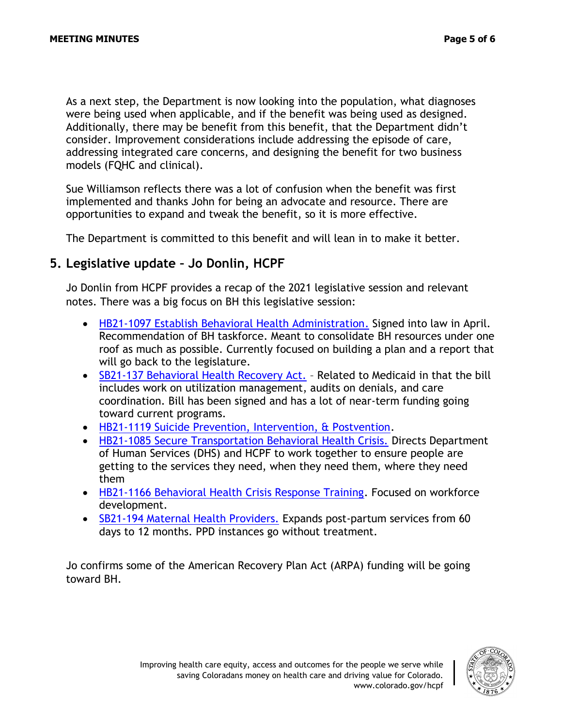As a next step, the Department is now looking into the population, what diagnoses were being used when applicable, and if the benefit was being used as designed. Additionally, there may be benefit from this benefit, that the Department didn't consider. Improvement considerations include addressing the episode of care, addressing integrated care concerns, and designing the benefit for two business models (FQHC and clinical).

Sue Williamson reflects there was a lot of confusion when the benefit was first implemented and thanks John for being an advocate and resource. There are opportunities to expand and tweak the benefit, so it is more effective.

The Department is committed to this benefit and will lean in to make it better.

### **5. Legislative update – Jo Donlin, HCPF**

Jo Donlin from HCPF provides a recap of the 2021 legislative session and relevant notes. There was a big focus on BH this legislative session:

- [HB21-1097 Establish Behavioral Health Administration.](https://leg.colorado.gov/bills/hb21-1097) Signed into law in April. Recommendation of BH taskforce. Meant to consolidate BH resources under one roof as much as possible. Currently focused on building a plan and a report that will go back to the legislature.
- [SB21-137 Behavioral Health Recovery Act.](https://leg.colorado.gov/bills/sb21-137) Related to Medicaid in that the bill includes work on utilization management, audits on denials, and care coordination. Bill has been signed and has a lot of near-term funding going toward current programs.
- [HB21-1119 Suicide Prevention, Intervention, & Postvention.](https://leg.colorado.gov/bills/hb21-1119)
- [HB21-1085 Secure Transportation Behavioral Health Crisis.](https://leg.colorado.gov/bills/hb21-1085) Directs Department of Human Services (DHS) and HCPF to work together to ensure people are getting to the services they need, when they need them, where they need them
- [HB21-1166 Behavioral Health Crisis Response Training.](https://leg.colorado.gov/bills/hb21-1166) Focused on workforce development.
- [SB21-194 Maternal Health Providers.](https://leg.colorado.gov/bills/sb21-194) Expands post-partum services from 60 days to 12 months. PPD instances go without treatment.

Jo confirms some of the American Recovery Plan Act (ARPA) funding will be going toward BH.